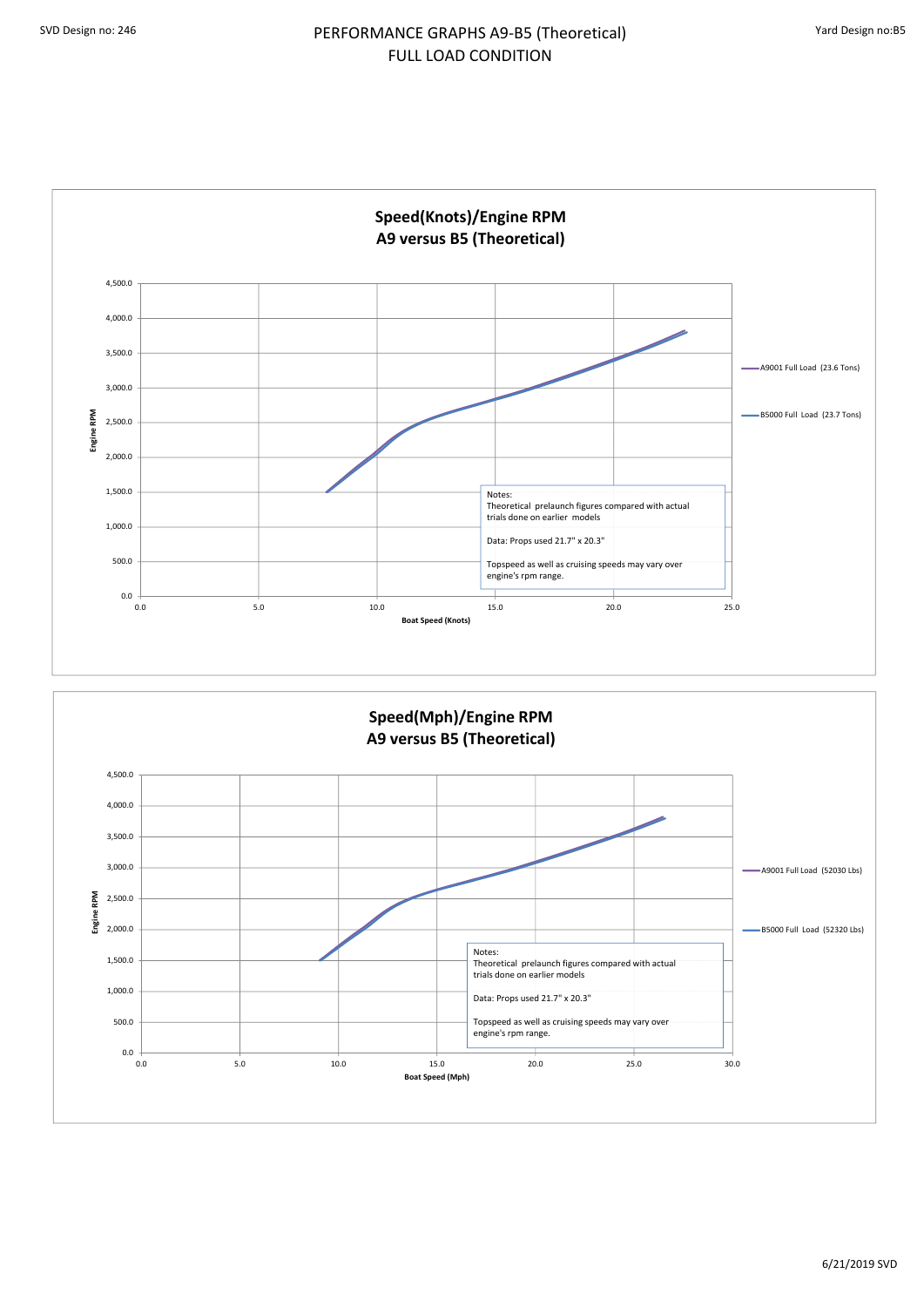

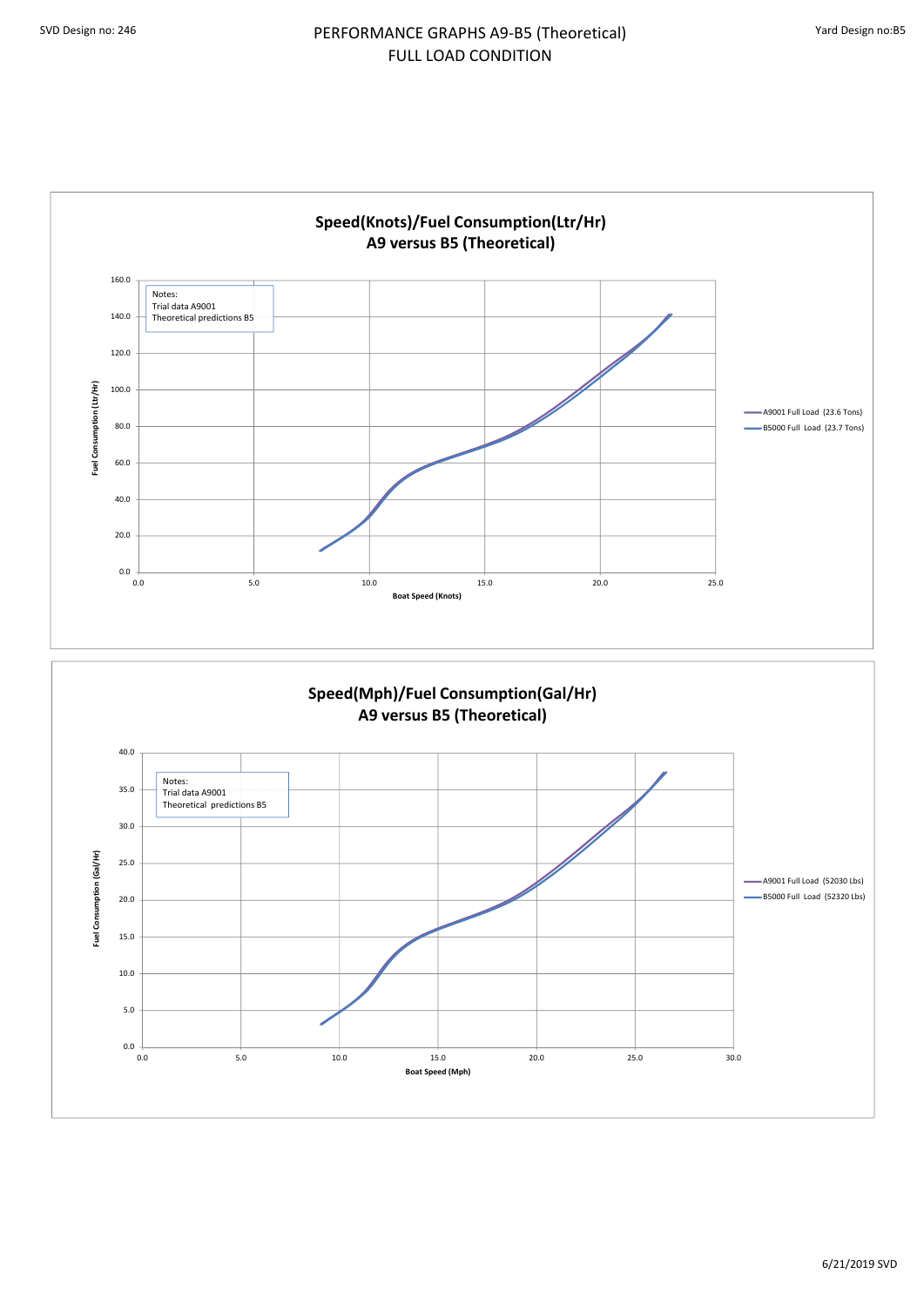

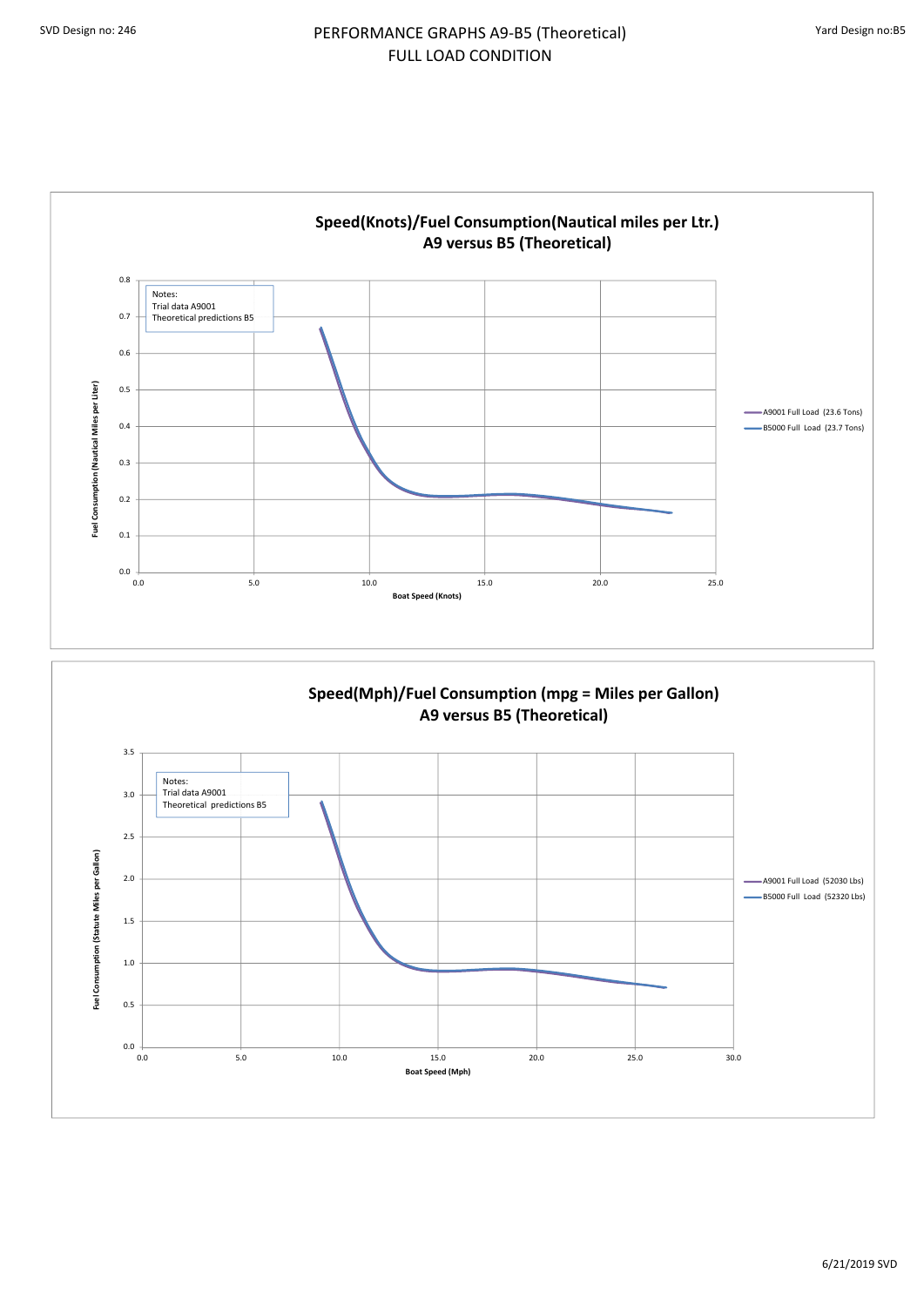